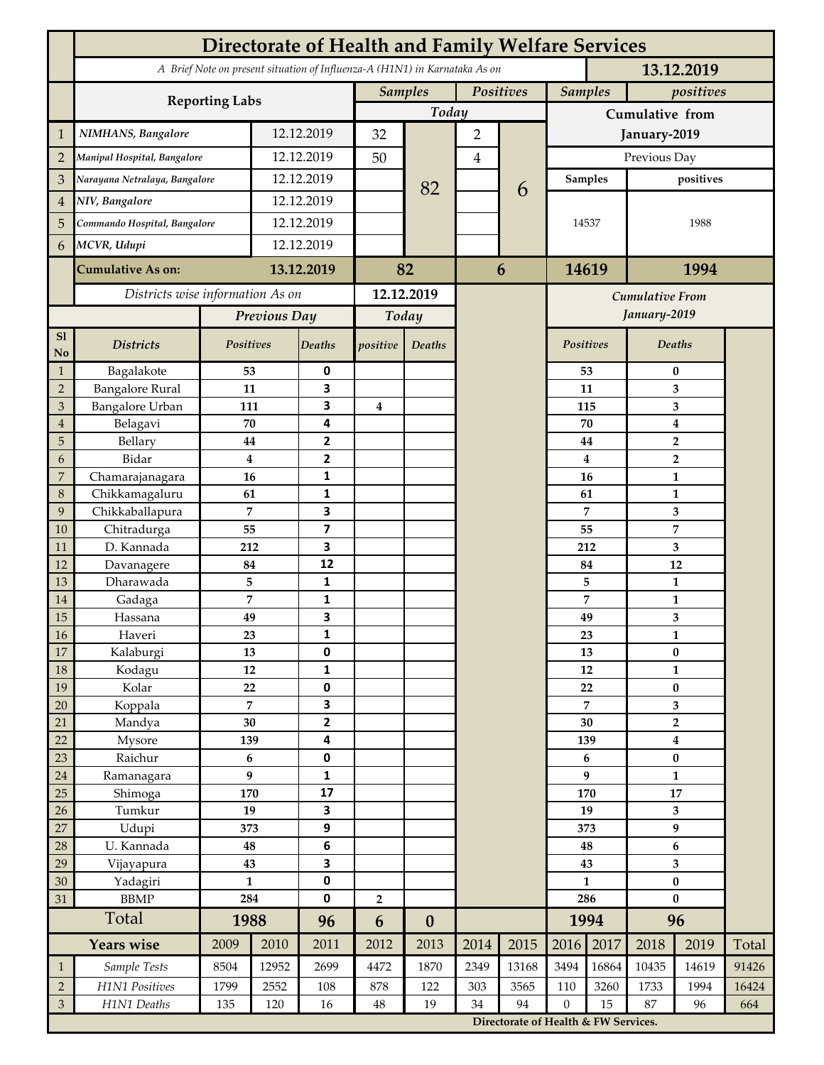|                 | <b>Directorate of Health and Family Welfare Services</b>                                 |                |            |                         |                |                  |           |                                      |                  |                |                           |                         |       |  |
|-----------------|------------------------------------------------------------------------------------------|----------------|------------|-------------------------|----------------|------------------|-----------|--------------------------------------|------------------|----------------|---------------------------|-------------------------|-------|--|
|                 | A Brief Note on present situation of Influenza-A (H1N1) in Karnataka As on<br>13.12.2019 |                |            |                         |                |                  |           |                                      |                  |                |                           |                         |       |  |
|                 | <b>Reporting Labs</b>                                                                    |                |            |                         | <b>Samples</b> |                  | Positives |                                      | <b>Samples</b>   |                | positives                 |                         |       |  |
|                 |                                                                                          |                |            |                         | Today          |                  |           |                                      | Cumulative from  |                |                           |                         |       |  |
| $\mathbf{1}$    | NIMHANS, Bangalore                                                                       | 12.12.2019     |            | 32                      |                | $\overline{2}$   |           |                                      | January-2019     |                |                           |                         |       |  |
| $\overline{2}$  | Manipal Hospital, Bangalore                                                              |                |            | 12.12.2019              |                |                  | 4         |                                      | Previous Day     |                |                           |                         |       |  |
| 3               | Narayana Netralaya, Bangalore                                                            |                |            | 12.12.2019              |                |                  |           |                                      | Samples          |                | positives                 |                         |       |  |
| $\overline{4}$  | NIV, Bangalore                                                                           |                | 12.12.2019 |                         |                | 82               |           | 6                                    |                  |                |                           |                         |       |  |
| 5               | Commando Hospital, Bangalore                                                             |                | 12.12.2019 |                         |                |                  |           |                                      | 14537            |                | 1988                      |                         |       |  |
| 6               | MCVR, Udupi                                                                              |                | 12.12.2019 |                         |                |                  |           |                                      |                  |                |                           |                         |       |  |
|                 |                                                                                          |                |            |                         |                |                  |           |                                      |                  |                | 1994                      |                         |       |  |
|                 | <b>Cumulative As on:</b>                                                                 |                | 13.12.2019 |                         | 82             |                  | 6         |                                      | 14619            |                |                           |                         |       |  |
|                 | Districts wise information As on                                                         |                |            | 12.12.2019              |                |                  |           | <b>Cumulative From</b>               |                  |                |                           |                         |       |  |
|                 |                                                                                          | Previous Day   |            | Today                   |                |                  |           |                                      |                  | January-2019   |                           |                         |       |  |
| S1<br>No        | <b>Districts</b>                                                                         | Positives      |            | Deaths                  | positive       | Deaths           |           |                                      | Positives        |                |                           | Deaths                  |       |  |
| $\mathbf{1}$    | Bagalakote                                                                               | 53             |            | 0                       |                |                  |           |                                      | 53               |                | $\bf{0}$                  |                         |       |  |
| $\overline{2}$  | <b>Bangalore Rural</b>                                                                   | 11             |            | 3                       |                |                  |           |                                      |                  | 11             | 3                         |                         |       |  |
| 3               | <b>Bangalore Urban</b>                                                                   | 111            |            | 3                       | 4              |                  |           |                                      |                  | 115            | 3                         |                         |       |  |
| $\overline{4}$  | Belagavi                                                                                 | 70             |            | 4                       |                |                  |           |                                      |                  | 70             | $\boldsymbol{4}$          |                         |       |  |
| 5<br>6          | Bellary<br>Bidar                                                                         | 44<br>$\bf{4}$ |            | 2<br>$\mathbf{2}$       |                |                  |           |                                      |                  | 44<br>4        |                           | $\overline{2}$          |       |  |
| 7               | Chamarajanagara                                                                          | 16             |            | 1                       |                |                  |           |                                      |                  | 16             | $\overline{2}$<br>1       |                         |       |  |
| 8               | Chikkamagaluru                                                                           | 61             |            | 1                       |                |                  |           |                                      |                  | 61             |                           | 1                       |       |  |
| 9               | Chikkaballapura                                                                          | 7              |            | 3                       |                |                  |           |                                      |                  | 7              |                           | 3                       |       |  |
| 10              | Chitradurga                                                                              | 55             |            | $\overline{\mathbf{z}}$ |                |                  |           |                                      |                  | 55             |                           | 7                       |       |  |
| 11              | D. Kannada                                                                               | 212            |            | 3                       |                |                  |           |                                      | 212              |                | 3                         |                         |       |  |
| 12              | Davanagere                                                                               | 84             |            | 12                      |                |                  |           |                                      |                  | 84             |                           | 12                      |       |  |
| 13              | Dharawada                                                                                | 5              |            | $\mathbf{1}$            |                |                  |           |                                      |                  | 5              |                           | $\mathbf{1}$            |       |  |
| 14              | Gadaga                                                                                   | 7              |            | 1<br>3                  |                |                  |           |                                      |                  | 7              |                           | 1                       |       |  |
| 15<br><b>16</b> | Hassana<br>Haveri                                                                        | 49<br>23       |            | 1                       |                |                  |           |                                      |                  | 49<br>23       |                           | 3<br>1                  |       |  |
| 17              | Kalaburgi                                                                                | 13             |            | 0                       |                |                  |           |                                      |                  | 13             | $\pmb{0}$                 |                         |       |  |
| 18              | Kodagu                                                                                   | 12             |            | $\mathbf{1}$            |                |                  |           |                                      |                  | 12             |                           | $\mathbf{1}$            |       |  |
| 19              | Kolar                                                                                    | 22             |            | 0                       |                |                  |           |                                      |                  | 22             |                           | $\pmb{0}$               |       |  |
| 20              | Koppala                                                                                  | $\overline{7}$ |            | 3                       |                |                  |           |                                      |                  | $\overline{7}$ |                           | 3                       |       |  |
| 21              | Mandya                                                                                   | $30\,$         |            | $\mathbf{2}$            |                |                  |           |                                      |                  | 30             |                           | $\mathbf 2$             |       |  |
| 22              | Mysore                                                                                   | 139            |            | 4                       |                |                  |           |                                      | 139              |                | $\boldsymbol{4}$          |                         |       |  |
| 23              | Raichur                                                                                  | $\bf 6$        |            | $\pmb{0}$               |                |                  |           |                                      | 6<br>9           |                | $\pmb{0}$<br>$\mathbf{1}$ |                         |       |  |
| $24\,$<br>25    | Ramanagara<br>Shimoga                                                                    | 9<br>170       |            | 1<br>17                 |                |                  |           |                                      | 170              |                | $17\,$                    |                         |       |  |
| 26              | Tumkur                                                                                   | 19             |            | 3                       |                |                  |           |                                      | 19               |                | 3                         |                         |       |  |
| 27              | Udupi                                                                                    | 373            |            | 9                       |                |                  |           |                                      | 373              |                | 9                         |                         |       |  |
| 28              | U. Kannada                                                                               | 48             |            | $\bf 6$                 |                |                  |           |                                      | 48               |                | $\bf 6$                   |                         |       |  |
| 29              | Vijayapura                                                                               | 43             |            | 3                       |                |                  |           |                                      |                  | 43             |                           | $\overline{\mathbf{3}}$ |       |  |
| 30              | Yadagiri                                                                                 | $\mathbf{1}$   |            | 0                       |                |                  |           |                                      | $\mathbf{1}$     |                | $\pmb{0}$                 |                         |       |  |
| 31              | <b>BBMP</b>                                                                              | 284            |            | 0                       | $\overline{2}$ |                  |           |                                      | 286              |                | $\bf{0}$                  |                         |       |  |
|                 | Total                                                                                    | 1988           |            | 96                      | 6              | $\boldsymbol{0}$ |           |                                      | 1994             |                | 96                        |                         |       |  |
|                 | <b>Years wise</b>                                                                        | 2009           | 2010       | 2011                    | 2012           | 2013             | 2014      | 2015                                 | 2016             | 2017           | 2018                      | 2019                    | Total |  |
| $\mathbf{1}$    | Sample Tests                                                                             | 8504           | 12952      | 2699                    | 4472           | 1870             | 2349      | 13168                                | 3494             | 16864          | 10435                     | 14619                   | 91426 |  |
| $\overline{2}$  | H1N1 Positives                                                                           | 1799           | 2552       | 108                     | 878            | 122              | 303       | 3565                                 | 110              | 3260           | 1733                      | 1994                    | 16424 |  |
| $\mathfrak{Z}$  | H1N1 Deaths                                                                              | 135            | 120        | 16                      | $\bf 48$       | 19               | 34        | 94                                   | $\boldsymbol{0}$ | 15             | 87                        | 96                      | 664   |  |
|                 |                                                                                          |                |            |                         |                |                  |           | Directorate of Health & FW Services. |                  |                |                           |                         |       |  |